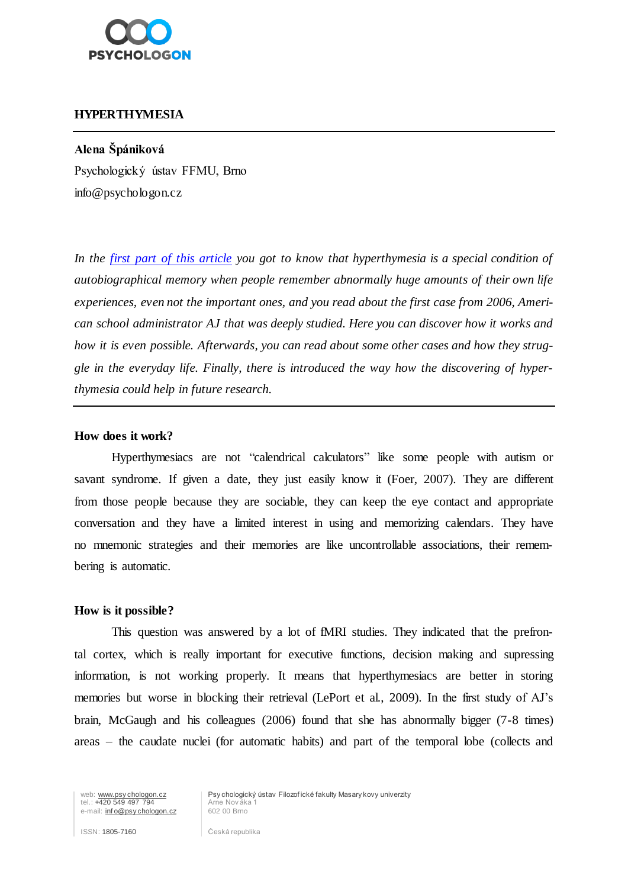

# **HYPERTHYMESIA**

## **Alena Špániková**

Psychologický ústav FFMU, Brno info@psychologon.cz

*In the [first part of this article](http://www.psychologon.cz/component/content/article/14-psycholog-online/374-hyperthymesia) you got to know that hyperthymesia is a special condition of autobiographical memory when people remember abnormally huge amounts of their own life experiences, even not the important ones, and you read about the first case from 2006, American school administrator AJ that was deeply studied. Here you can discover how it works and how it is even possible. Afterwards, you can read about some other cases and how they struggle in the everyday life. Finally, there is introduced the way how the discovering of hyperthymesia could help in future research.*

### **How does it work?**

Hyperthymesiacs are not "calendrical calculators" like some people with autism or savant syndrome. If given a date, they just easily know it (Foer, 2007). They are different from those people because they are sociable, they can keep the eye contact and appropriate conversation and they have a limited interest in using and memorizing calendars. They have no mnemonic strategies and their memories are like uncontrollable associations, their remembering is automatic.

### **How is it possible?**

This question was answered by a lot of fMRI studies. They indicated that the prefrontal cortex, which is really important for executive functions, decision making and supressing information, is not working properly. It means that hyperthymesiacs are better in storing memories but worse in blocking their retrieval (LePort et al., 2009). In the first study of AJ's brain, McGaugh and his colleagues (2006) found that she has abnormally bigger (7-8 times) areas – the caudate nuclei (for automatic habits) and part of the temporal lobe (collects and

web: www.psychologon.cz<br>
tel.: +420 549 497 794 Arne Nov ák<br>
e-mail: info@psychologon.cz<br>
602 00 Brno e-mail: *info@psy chologon.cz* 

Psy chologický ústav Filozofické fakulty Masary kovy univerzity<br>Arne Nováka 1

ISSN: 1805-7160 **Ceská republika**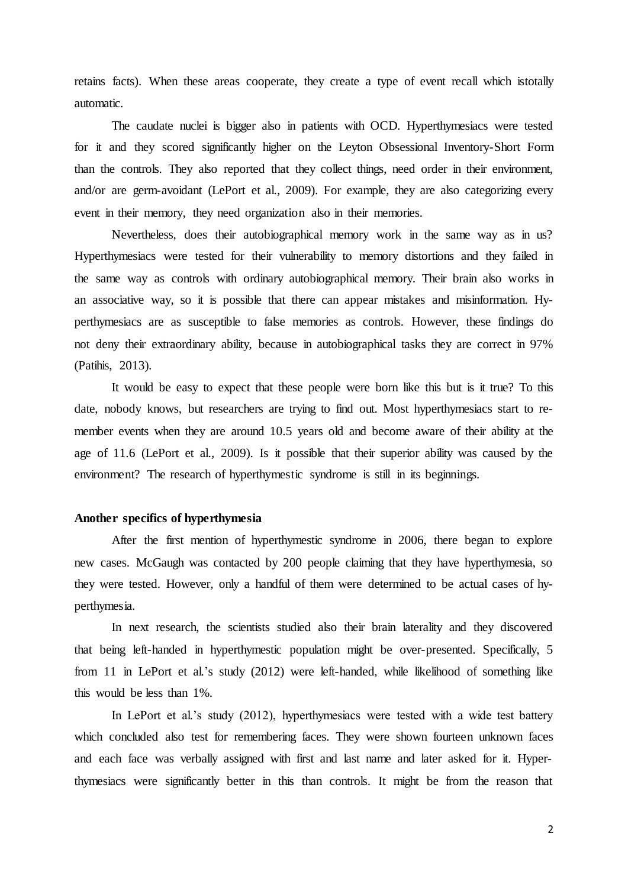retains facts). When these areas cooperate, they create a type of event recall which istotally automatic.

The caudate nuclei is bigger also in patients with OCD. Hyperthymesiacs were tested for it and they scored significantly higher on the Leyton Obsessional Inventory-Short Form than the controls. They also reported that they collect things, need order in their environment, and/or are germ-avoidant (LePort et al., 2009). For example, they are also categorizing every event in their memory, they need organization also in their memories.

Nevertheless, does their autobiographical memory work in the same way as in us? Hyperthymesiacs were tested for their vulnerability to memory distortions and they failed in the same way as controls with ordinary autobiographical memory. Their brain also works in an associative way, so it is possible that there can appear mistakes and misinformation. Hyperthymesiacs are as susceptible to false memories as controls. However, these findings do not deny their extraordinary ability, because in autobiographical tasks they are correct in 97% (Patihis, 2013).

It would be easy to expect that these people were born like this but is it true? To this date, nobody knows, but researchers are trying to find out. Most hyperthymesiacs start to remember events when they are around 10.5 years old and become aware of their ability at the age of 11.6 (LePort et al., 2009). Is it possible that their superior ability was caused by the environment? The research of hyperthymestic syndrome is still in its beginnings.

## **Another specifics of hyperthymesia**

After the first mention of hyperthymestic syndrome in 2006, there began to explore new cases. McGaugh was contacted by 200 people claiming that they have hyperthymesia, so they were tested. However, only a handful of them were determined to be actual cases of hyperthymesia.

In next research, the scientists studied also their brain laterality and they discovered that being left-handed in hyperthymestic population might be over-presented. Specifically, 5 from 11 in LePort et al.'s study (2012) were left-handed, while likelihood of something like this would be less than 1%.

In LePort et al.'s study (2012), hyperthymesiacs were tested with a wide test battery which concluded also test for remembering faces. They were shown fourteen unknown faces and each face was verbally assigned with first and last name and later asked for it. Hyperthymesiacs were significantly better in this than controls. It might be from the reason that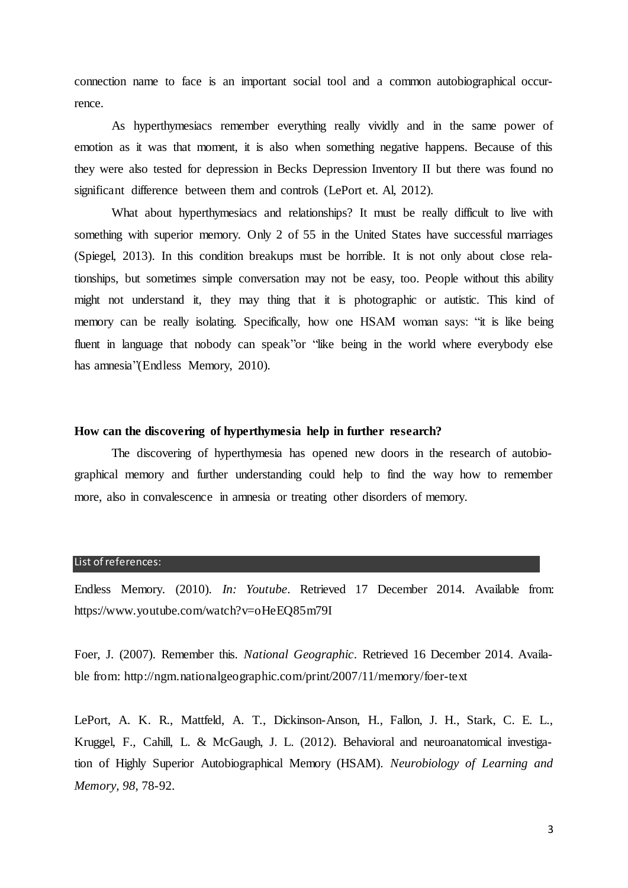connection name to face is an important social tool and a common autobiographical occurrence.

As hyperthymesiacs remember everything really vividly and in the same power of emotion as it was that moment, it is also when something negative happens. Because of this they were also tested for depression in Becks Depression Inventory II but there was found no significant difference between them and controls (LePort et. Al, 2012).

What about hyperthymesiacs and relationships? It must be really difficult to live with something with superior memory. Only 2 of 55 in the United States have successful marriages (Spiegel, 2013). In this condition breakups must be horrible. It is not only about close relationships, but sometimes simple conversation may not be easy, too. People without this ability might not understand it, they may thing that it is photographic or autistic. This kind of memory can be really isolating. Specifically, how one HSAM woman says: "it is like being fluent in language that nobody can speak or "like being in the world where everybody else has amnesia"(Endless Memory, 2010).

## **How can the discovering of hyperthymesia help in further research?**

The discovering of hyperthymesia has opened new doors in the research of autobiographical memory and further understanding could help to find the way how to remember more, also in convalescence in amnesia or treating other disorders of memory.

#### List of references:

Endless Memory. (2010). *In: Youtube*. Retrieved 17 December 2014. Available from: https://www.youtube.com/watch?v=oHeEQ85m79I

Foer, J. (2007). Remember this. *National Geographic*. Retrieved 16 December 2014. Available from: http://ngm.nationalgeographic.com/print/2007/11/memory/foer-text

LePort, A. K. R., Mattfeld, A. T., Dickinson-Anson, H., Fallon, J. H., Stark, C. E. L., Kruggel, F., Cahill, L. & McGaugh, J. L. (2012). Behavioral and neuroanatomical investigation of Highly Superior Autobiographical Memory (HSAM). *Neurobiology of Learning and Memory, 98*, 78-92.